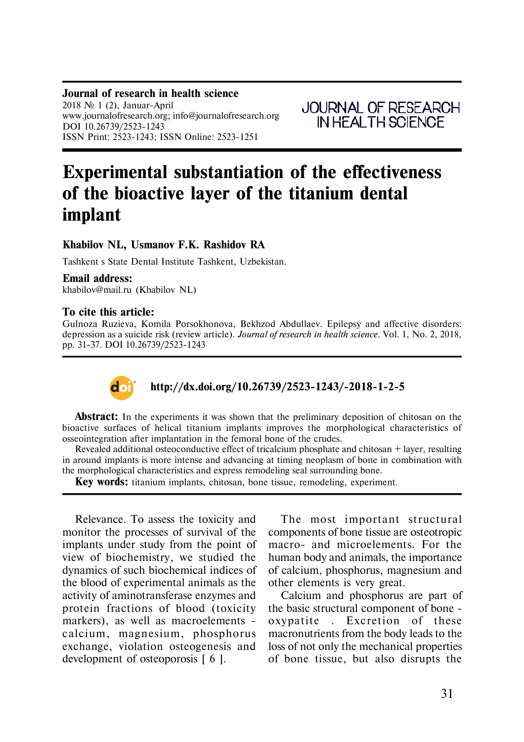**Journal of research in health science** 2018  $\mathbb{N}$  1 (2), Januar-April www.journalofresearch.org; info@journalofresearch.org DOI 10.26739/2523-1243 ISSN Print: 2523-1243; ISSN Online: 2523-1251

**JOURNAL OF RESEARCH** IN HEAL TH SCIENCE

# **Experimental substantiation of the effectiveness of the bioactive layer of the titanium dental implant**

# **Khabilov NL, Usmanov F.K. Rashidov RA**

Tashkent s State Dental Institute Tashkent, Uzbekistan.

#### **Email address:**

khabilov@mail.ru (Khabilov NL)

### **To cite this article:**

Gulnoza Ruzieva, Komila Porsokhonova, Bekhzod Abdullaev. Epilepsy and affective disorders: depression as a suicide risk (review article). *Journal of research in health science.* Vol. 1, No. 2, 2018, pp. 31-37. DOI 10.26739/2523-1243



# **http://dx.doi.org/10.26739/2523-1243/-2018-1-2-5**

**Abstract:** In the experiments it was shown that the preliminary deposition of chitosan on the bioactive surfaces of helical titanium implants improves the morphological characteristics of osseointegration after implantation in the femoral bone of the crudes.

Revealed additional osteoconductive effect of tricalcium phosphate and chitosan + layer, resulting in around implants is more intense and advancing at timing neoplasm of bone in combination with the morphological characteristics and express remodeling seal surrounding bone.

**Key words:** titanium implants, chitosan, bone tissue, remodeling, experiment.

Relevance. To assess the toxicity and monitor the processes of survival of the implants under study from the point of view of biochemistry, we studied the dynamics of such biochemical indices of the blood of experimental animals as the activity of aminotransferase enzymes and protein fractions of blood (toxicity markers), as well as macroelements calcium, magnesium, phosphorus exchange, violation osteogenesis and development of osteoporosis [ 6 ].

The most important structural components of bone tissue are osteotropic macro- and microelements. For the human body and animals, the importance of calcium, phosphorus, magnesium and other elements is very great.

Calcium and phosphorus are part of the basic structural component of bone oxypatite . Excretion of these macronutrients from the body leads to the loss of not only the mechanical properties of bone tissue, but also disrupts the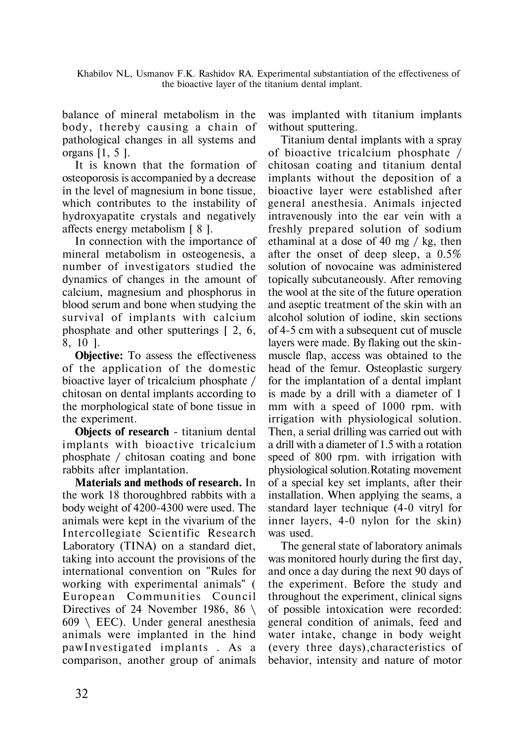Khabilov NL, Usmanov F.K. Rashidov RA. Experimental substantiation of the effectiveness of the bioactive layer of the titanium dental implant.

balance of mineral metabolism in the body, thereby causing a chain of pathological changes in all systems and organs [1, 5 ].

It is known that the formation of osteoporosis is accompanied by a decrease in the level of magnesium in bone tissue, which contributes to the instability of hydroxyapatite crystals and negatively affects energy metabolism [ 8 ].

In connection with the importance of mineral metabolism in osteogenesis, a number of investigators studied the dynamics of changes in the amount of calcium, magnesium and phosphorus in blood serum and bone when studying the survival of implants with calcium phosphate and other sputterings [ 2, 6, 8, 10 ].

**Objective:** To assess the effectiveness of the application of the domestic bioactive layer of tricalcium phosphate / chitosan on dental implants according to the morphological state of bone tissue in the experiment.

**Objects of research** - titanium dental implants with bioactive tricalcium phosphate / chitosan coating and bone rabbits after implantation.

**Materials and methods of research.** In the work 18 thoroughbred rabbits with a body weight of 4200-4300 were used. The animals were kept in the vivarium of the Intercollegiate Scientific Research Laboratory (TINA) on a standard diet, taking into account the provisions of the international convention on "Rules for working with experimental animals" ( European Communities Council Directives of 24 November 1986, 86  $\setminus$  $609 \text{ } \setminus \text{EEC}$ . Under general anesthesia animals were implanted in the hind pawInvestigated implants. As a comparison, another group of animals

was implanted with titanium implants without sputtering.

Titanium dental implants with a spray of bioactive tricalcium phosphate / chitosan coating and titanium dental implants without the deposition of a bioactive layer were established after general anesthesia. Animals injected intravenously into the ear vein with a freshly prepared solution of sodium ethaminal at a dose of 40 mg / kg, then after the onset of deep sleep, a 0.5% solution of novocaine was administered topically subcutaneously. After removing the wool at the site of the future operation and aseptic treatment of the skin with an alcohol solution of iodine, skin sections of 4-5 cm with a subsequent cut of muscle layers were made. By flaking out the skinmuscle flap, access was obtained to the head of the femur. Osteoplastic surgery for the implantation of a dental implant is made by a drill with a diameter of 1 mm with a speed of 1000 rpm. with irrigation with physiological solution. Then, a serial drilling was carried out with a drill with a diameter of 1.5 with a rotation speed of 800 rpm. with irrigation with physiological solution.Rotating movement of a special key set implants, after their installation. When applying the seams, a standard layer technique (4-0 vitryl for inner layers, 4-0 nylon for the skin) was used.

The general state of laboratory animals was monitored hourly during the first day, and once a day during the next 90 days of the experiment. Before the study and throughout the experiment, clinical signs of possible intoxication were recorded: general condition of animals, feed and water intake, change in body weight (every three days),characteristics of behavior, intensity and nature of motor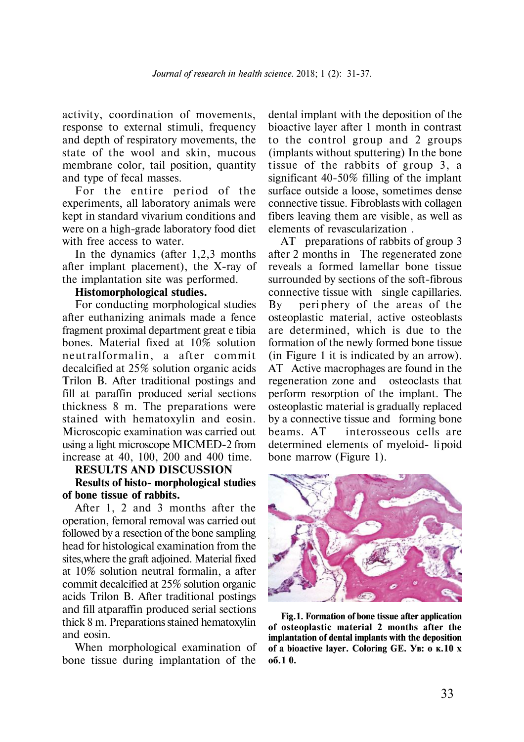activity, coordination of movements, response to external stimuli, frequency and depth of respiratory movements, the state of the wool and skin, mucous membrane color, tail position, quantity and type of fecal masses.

For the entire period of the experiments, all laboratory animals were kept in standard vivarium conditions and were on a high-grade laboratory food diet with free access to water.

In the dynamics (after 1,2,3 months after implant placement), the X-ray of the implantation site was performed.

### **Histomorphological studies.**

For conducting morphological studies after euthanizing animals made a fence fragment proximal department great e tibia bones. Material fixed at 10% solution neutralformalin, a after commit decalcified at 25% solution organic acids Trilon B. After traditional postings and fill at paraffin produced serial sections thickness 8 m. The preparations were stained with hematoxylin and eosin. Microscopic examination was carried out using a light microscope MICMED-2 from increase at 40, 100, 200 and 400 time.

### **RESULTS AND DISCUSSION**

#### **Results of histo- morphological studies of bone tissue of rabbits.**

After 1, 2 and 3 months after the operation, femoral removal was carried out followed by a resection of the bone sampling head for histological examination from the sites,where the graft adjoined. Material fixed at 10% solution neutral formalin, a after commit decalcified at 25% solution organic acids Trilon B. After traditional postings and fill atparaffin produced serial sections thick 8 m. Preparations stained hematoxylin and eosin.

When morphological examination of bone tissue during implantation of the

dental implant with the deposition of the bioactive layer after 1 month in contrast to the control group and 2 groups (implants without sputtering) In the bone tissue of the rabbits of group 3, a significant 40-50% filling of the implant surface outside a loose, sometimes dense connective tissue. Fibroblasts with collagen fibers leaving them are visible, as well as elements of revascularization .

AT preparations of rabbits of group 3 after 2 months in The regenerated zone reveals a formed lamellar bone tissue surrounded by sections of the soft-fibrous connective tissue with single capillaries. By peri phery of the areas of the osteoplastic material, active osteoblasts are determined, which is due to the formation of the newly formed bone tissue (in Figure 1 it is indicated by an arrow). AT Active macrophages are found in the regeneration zone and osteoclasts that perform resorption of the implant. The osteoplastic material is gradually replaced by a connective tissue and forming bone beams. AT interosseous cells are determined elements of myeloid- li poid bone marrow (Figure 1).



**Fig.1. Formation of bone tissue after application of osteoplastic material 2 months after the implantation of dental implants with the deposition** of a bioactive layer. Coloring GE. Ув: о к.10 х **îá.1 0.**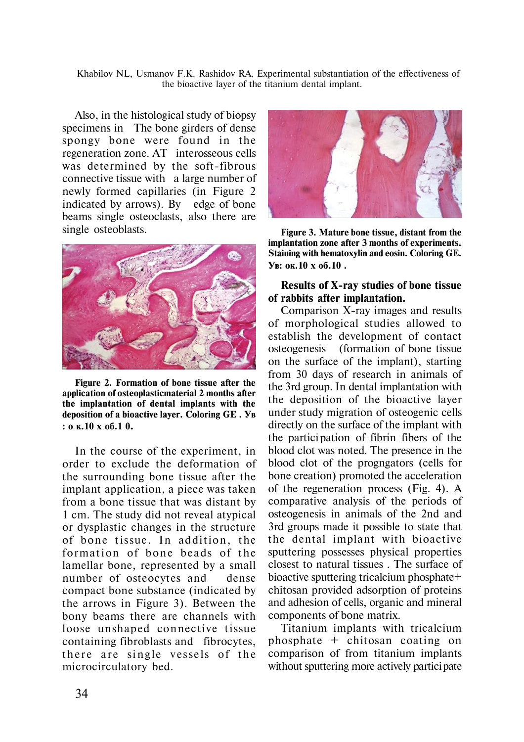Khabilov NL, Usmanov F.K. Rashidov RA. Experimental substantiation of the effectiveness of the bioactive layer of the titanium dental implant.

Also, in the histological study of biopsy specimens in The bone girders of dense spongy bone were found in the regeneration zone. AT interosseous cells was determined by the soft-fibrous connective tissue with a large number of newly formed capillaries (in Figure 2 indicated by arrows). By edge of bone beams single osteoclasts, also there are single osteoblasts. **Figure 3. Mature bone tissue, distant from the**



**Figure 2. Formation of bone tissue after the application of osteoplasticmaterial 2 months after the implantation of dental implants with the** deposition of a bioactive layer. Coloring GE. YB  $: 0 \times 10 \times 06.1$  0.

In the course of the experiment, in order to exclude the deformation of the surrounding bone tissue after the implant application, a piece was taken from a bone tissue that was distant by 1 cm. The study did not reveal atypical or dysplastic changes in the structure of bone tissue. In addition, the formation of bone beads of the lamellar bone, represented by a small number of osteocytes and dense compact bone substance (indicated by the arrows in Figure 3). Between the bony beams there are channels with loose unshaped connective tissue containing fibroblasts and fibrocytes, there are single vessels of the microcirculatory bed.



**implantation zone after 3 months of experiments. Staining with hematoxylin and eosin. Coloring GE.** Ув: ок.10 х об.10.

## **Results of X-ray studies of bone tissue of rabbits after implantation.**

Comparison X-ray images and results of morphological studies allowed to establish the development of contact osteogenesis (formation of bone tissue on the surface of the implant), starting from 30 days of research in animals of the 3rd group. In dental implantation with the deposition of the bioactive layer under study migration of osteogenic cells directly on the surface of the implant with the partici pation of fibrin fibers of the blood clot was noted. The presence in the blood clot of the progngators (cells for bone creation) promoted the acceleration of the regeneration process (Fig. 4). A comparative analysis of the periods of osteogenesis in animals of the 2nd and 3rd groups made it possible to state that the dental implant with bioactive sputtering possesses physical properties closest to natural tissues . The surface of bioactive sputtering tricalcium phosphate+ chitosan provided adsorption of proteins and adhesion of cells, organic and mineral components of bone matrix.

Titanium implants with tricalcium phosphate  $+$  chitosan coating on comparison of from titanium implants without sputtering more actively participate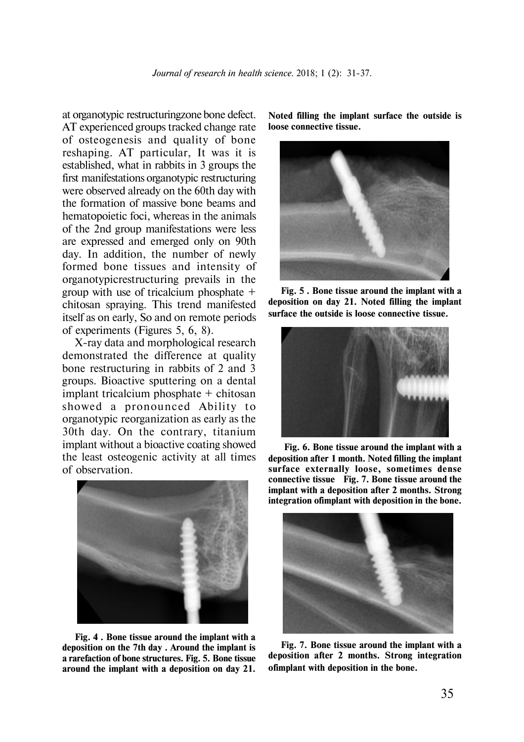at organotypic restructuringzone bone defect. AT experienced groups tracked change rate of osteogenesis and quality of bone reshaping. AT particular, It was it is established, what in rabbits in 3 groups the first manifestations organotypic restructuring were observed already on the 60th day with the formation of massive bone beams and hematopoietic foci, whereas in the animals of the 2nd group manifestations were less are expressed and emerged only on 90th day. In addition, the number of newly formed bone tissues and intensity of organotypicrestructuring prevails in the group with use of tricalcium phosphate + chitosan spraying. This trend manifested itself as on early, So and on remote periods of experiments (Figures 5, 6, 8).

X-ray data and morphological research demonstrated the difference at quality bone restructuring in rabbits of 2 and 3 groups. Bioactive sputtering on a dental implant tricalcium phosphate + chitosan showed a pronounced Ability to organotypic reorganization as early as the 30th day. On the contrary, titanium implant without a bioactive coating showed the least osteogenic activity at all times of observation.



**Fig. 4 . Bone tissue around the implant with a deposition on the 7th day . Around the implant is a rarefaction of bone structures. Fig. 5. Bone tissue around the implant with a deposition on day 21.**

**Noted filling the implant surface the outside is loose connective tissue.**



**Fig. 5 . Bone tissue around the implant with a deposition on day 21. Noted filling the implant surface the outside is loose connective tissue.**



**Fig. 6. Bone tissue around the implant with a deposition after 1 month. Noted filling the implant sur face externally loose, sometimes dense connective tissue Fig. 7. Bone tissue around the implant with a deposition after 2 months. Strong integration ofimplant with deposition in the bone.**



**Fig. 7. Bone tissue around the implant with a deposition after 2 months. Strong integration ofimplant with deposition in the bone.**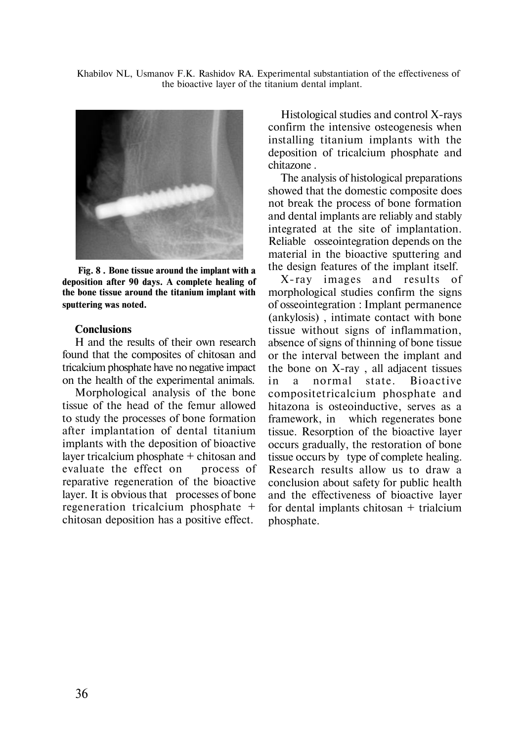Khabilov NL, Usmanov F.K. Rashidov RA. Experimental substantiation of the effectiveness of the bioactive layer of the titanium dental implant.



**Fig. 8 . Bone tissue around the implant with a deposition after 90 days. A complete healing of the bone tissue around the titanium implant with sputtering was noted.**

#### **Conclusions**

H and the results of their own research found that the composites of chitosan and tricalcium phosphate have no negative impact on the health of the experimental animals.

Morphological analysis of the bone tissue of the head of the femur allowed to study the processes of bone formation after implantation of dental titanium implants with the deposition of bioactive layer tricalcium phosphate + chitosan and evaluate the effect on process of reparative regeneration of the bioactive layer. It is obvious that processes of bone regeneration tricalcium phosphate + chitosan deposition has a positive effect.

Histological studies and control X-rays confirm the intensive osteogenesis when installing titanium implants with the deposition of tricalcium phosphate and chitazone .

The analysis of histological preparations showed that the domestic composite does not break the process of bone formation and dental implants are reliably and stably integrated at the site of implantation. Reliable osseointegration depends on the material in the bioactive sputtering and the design features of the implant itself.

X-ray images and results of morphological studies confirm the signs of osseointegration : Implant permanence (ankylosis) , intimate contact with bone tissue without signs of inflammation, absence of signs of thinning of bone tissue or the interval between the implant and the bone on X-ray , all adjacent tissues in a normal state. Bioactive compositetricalcium phosphate and hitazona is osteoinductive, serves as a framework, in which regenerates bone tissue. Resorption of the bioactive layer occurs gradually, the restoration of bone tissue occurs by type of complete healing. Research results allow us to draw a conclusion about safety for public health and the effectiveness of bioactive layer for dental implants chitosan + trialcium phosphate.